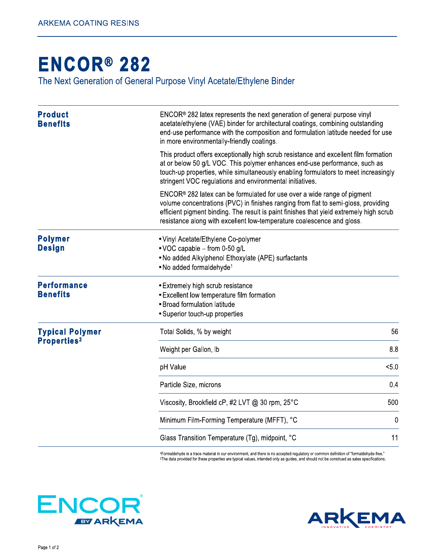## **ENCOR® 282**

The Next Generation of General Purpose Vinyl Acetate/Ethylene Binder

| <b>Product</b><br><b>Benefits</b>     | $ENCOR® 282$ latex represents the next generation of general purpose vinyl<br>acetate/ethylene (VAE) binder for architectural coatings, combining outstanding<br>end-use performance with the composition and formulation latitude needed for use<br>in more environmentally-friendly coatings.                                      |             |
|---------------------------------------|--------------------------------------------------------------------------------------------------------------------------------------------------------------------------------------------------------------------------------------------------------------------------------------------------------------------------------------|-------------|
|                                       | This product offers exceptionally high scrub resistance and excellent film formation<br>at or below 50 g/L VOC. This polymer enhances end-use performance, such as<br>touch-up properties, while simultaneously enabling formulators to meet increasingly<br>stringent VOC regulations and environmental initiatives.                |             |
|                                       | $ENCOR® 282$ latex can be formulated for use over a wide range of pigment<br>volume concentrations (PVC) in finishes ranging from flat to semi-gloss, providing<br>efficient pigment binding. The result is paint finishes that yield extremely high scrub<br>resistance along with excellent low-temperature coalescence and gloss. |             |
| <b>Polymer</b><br><b>Design</b>       | • Vinyl Acetate/Ethylene Co-polymer<br>• VOC capable - from 0-50 g/L<br>. No added Alkylphenol Ethoxylate (APE) surfactants<br>. No added formaldehyde <sup>1</sup>                                                                                                                                                                  |             |
| <b>Performance</b><br><b>Benefits</b> | • Extremely high scrub resistance<br>• Excellent low temperature film formation<br>• Broad formulation latitude<br>• Superior touch-up properties                                                                                                                                                                                    |             |
| <b>Typical Polymer</b>                | Total Solids, % by weight                                                                                                                                                                                                                                                                                                            | 56          |
| <b>Properties2</b>                    | Weight per Gallon, Ib                                                                                                                                                                                                                                                                                                                | 8.8         |
|                                       | pH Value                                                                                                                                                                                                                                                                                                                             | < 5.0       |
|                                       | Particle Size, microns                                                                                                                                                                                                                                                                                                               | 0.4         |
|                                       | Viscosity, Brookfield cP, #2 LVT @ 30 rpm, 25°C                                                                                                                                                                                                                                                                                      | 500         |
|                                       | Minimum Film-Forming Temperature (MFFT), °C                                                                                                                                                                                                                                                                                          | $\mathbf 0$ |
|                                       | Glass Transition Temperature (Tg), midpoint, °C                                                                                                                                                                                                                                                                                      | 11          |

1Formaldehyde is a trace material in our environment, and there is no accepted regulatory or common definition of "formaldehyde-free." <sup>2</sup>The data provided for these properties are typical values, intended only as guides, and should not be construed as sales specifications.